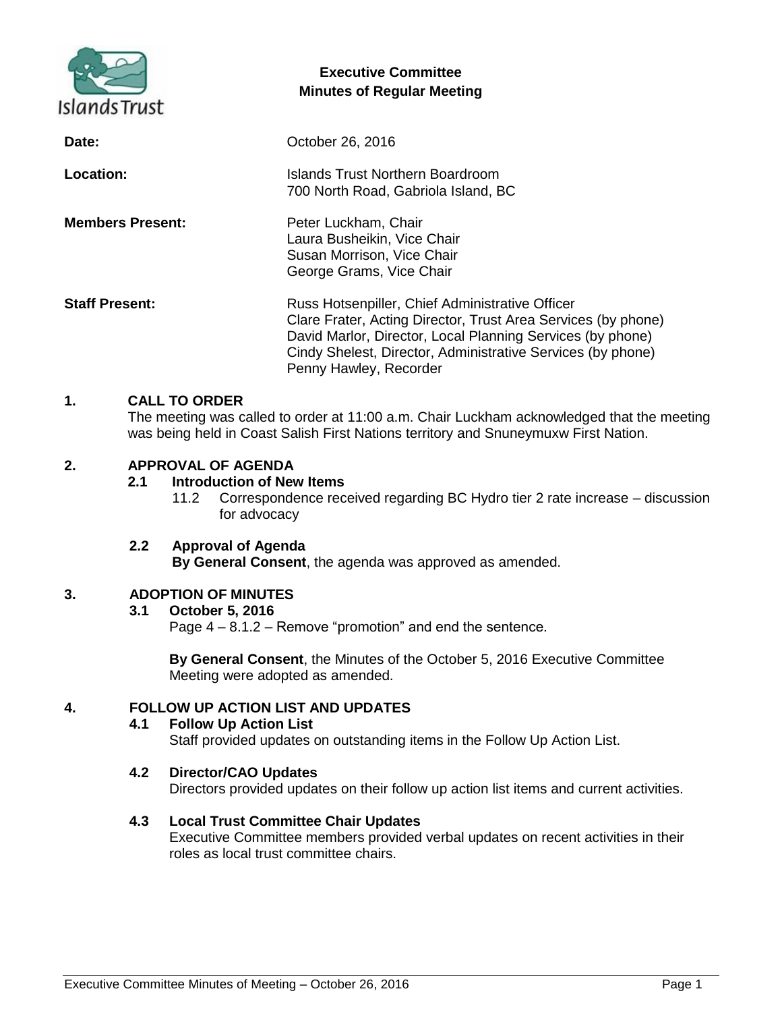

# **Executive Committee Minutes of Regular Meeting**

| Date:                   | October 26, 2016                                                                                                                                                                                                                                                        |
|-------------------------|-------------------------------------------------------------------------------------------------------------------------------------------------------------------------------------------------------------------------------------------------------------------------|
| Location:               | Islands Trust Northern Boardroom<br>700 North Road, Gabriola Island, BC                                                                                                                                                                                                 |
| <b>Members Present:</b> | Peter Luckham, Chair<br>Laura Busheikin, Vice Chair<br>Susan Morrison, Vice Chair<br>George Grams, Vice Chair                                                                                                                                                           |
| <b>Staff Present:</b>   | Russ Hotsenpiller, Chief Administrative Officer<br>Clare Frater, Acting Director, Trust Area Services (by phone)<br>David Marlor, Director, Local Planning Services (by phone)<br>Cindy Shelest, Director, Administrative Services (by phone)<br>Penny Hawley, Recorder |

## **1. CALL TO ORDER**

The meeting was called to order at 11:00 a.m. Chair Luckham acknowledged that the meeting was being held in Coast Salish First Nations territory and Snuneymuxw First Nation.

## **2. APPROVAL OF AGENDA**

#### **2.1 Introduction of New Items**

11.2 Correspondence received regarding BC Hydro tier 2 rate increase – discussion for advocacy

#### **2.2 Approval of Agenda By General Consent**, the agenda was approved as amended.

## **3. ADOPTION OF MINUTES**

#### **3.1 October 5, 2016**

Page 4 – 8.1.2 – Remove "promotion" and end the sentence.

**By General Consent**, the Minutes of the October 5, 2016 Executive Committee Meeting were adopted as amended.

## **4. FOLLOW UP ACTION LIST AND UPDATES**

## **4.1 Follow Up Action List**

Staff provided updates on outstanding items in the Follow Up Action List.

#### **4.2 Director/CAO Updates**

Directors provided updates on their follow up action list items and current activities.

#### **4.3 Local Trust Committee Chair Updates**

Executive Committee members provided verbal updates on recent activities in their roles as local trust committee chairs.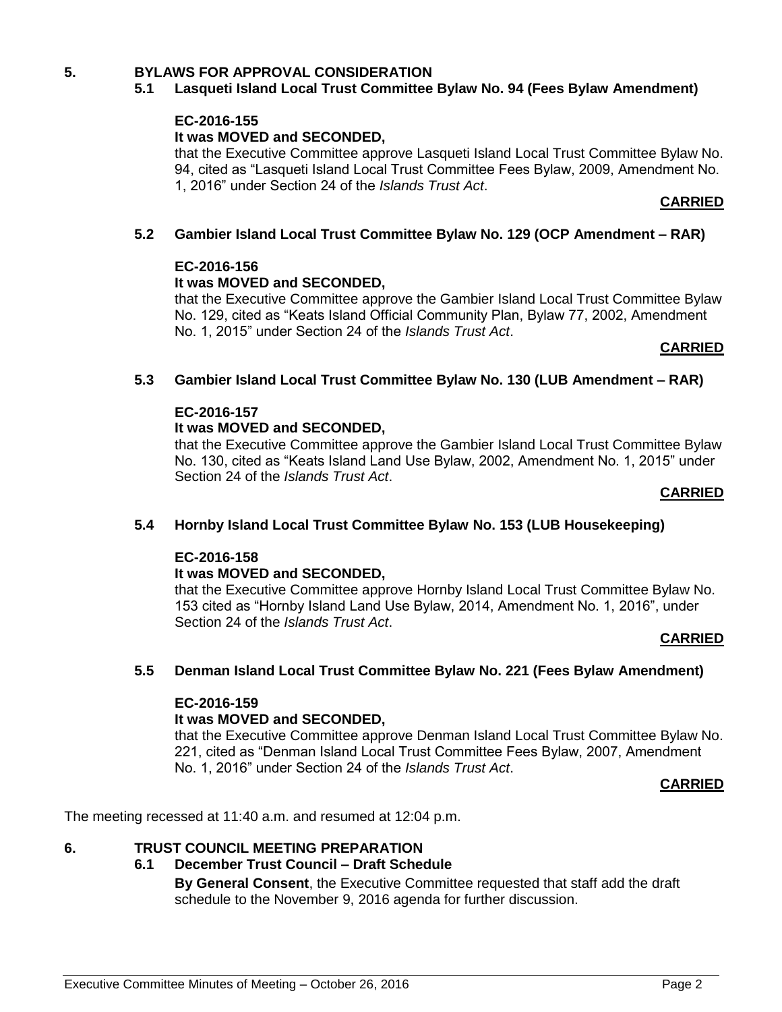## **5. BYLAWS FOR APPROVAL CONSIDERATION**

## **5.1 Lasqueti Island Local Trust Committee Bylaw No. 94 (Fees Bylaw Amendment)**

#### **EC-2016-155**

#### **It was MOVED and SECONDED,**

that the Executive Committee approve Lasqueti Island Local Trust Committee Bylaw No. 94, cited as "Lasqueti Island Local Trust Committee Fees Bylaw, 2009, Amendment No. 1, 2016" under Section 24 of the *Islands Trust Act*.

#### **CARRIED**

#### **5.2 Gambier Island Local Trust Committee Bylaw No. 129 (OCP Amendment – RAR)**

#### **EC-2016-156**

#### **It was MOVED and SECONDED,**

that the Executive Committee approve the Gambier Island Local Trust Committee Bylaw No. 129, cited as "Keats Island Official Community Plan, Bylaw 77, 2002, Amendment No. 1, 2015" under Section 24 of the *Islands Trust Act*.

#### **CARRIED**

#### **5.3 Gambier Island Local Trust Committee Bylaw No. 130 (LUB Amendment – RAR)**

#### **EC-2016-157**

#### **It was MOVED and SECONDED,**

that the Executive Committee approve the Gambier Island Local Trust Committee Bylaw No. 130, cited as "Keats Island Land Use Bylaw, 2002, Amendment No. 1, 2015" under Section 24 of the *Islands Trust Act*.

#### **CARRIED**

#### **5.4 Hornby Island Local Trust Committee Bylaw No. 153 (LUB Housekeeping)**

#### **EC-2016-158**

#### **It was MOVED and SECONDED,**

that the Executive Committee approve Hornby Island Local Trust Committee Bylaw No. 153 cited as "Hornby Island Land Use Bylaw, 2014, Amendment No. 1, 2016", under Section 24 of the *Islands Trust Act*.

#### **CARRIED**

#### **5.5 Denman Island Local Trust Committee Bylaw No. 221 (Fees Bylaw Amendment)**

#### **EC-2016-159**

## **It was MOVED and SECONDED,**

that the Executive Committee approve Denman Island Local Trust Committee Bylaw No. 221, cited as "Denman Island Local Trust Committee Fees Bylaw, 2007, Amendment No. 1, 2016" under Section 24 of the *Islands Trust Act*.

#### **CARRIED**

The meeting recessed at 11:40 a.m. and resumed at 12:04 p.m.

## **6. TRUST COUNCIL MEETING PREPARATION**

**6.1 December Trust Council – Draft Schedule**

**By General Consent**, the Executive Committee requested that staff add the draft schedule to the November 9, 2016 agenda for further discussion.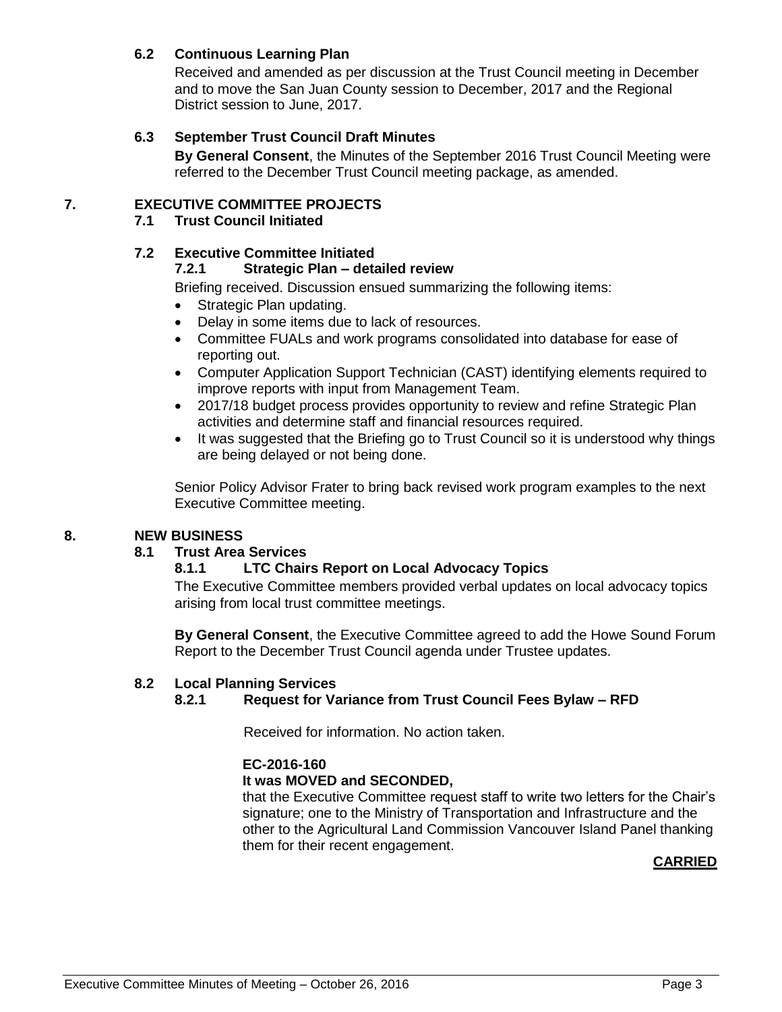# **6.2 Continuous Learning Plan**

Received and amended as per discussion at the Trust Council meeting in December and to move the San Juan County session to December, 2017 and the Regional District session to June, 2017.

## **6.3 September Trust Council Draft Minutes**

**By General Consent**, the Minutes of the September 2016 Trust Council Meeting were referred to the December Trust Council meeting package, as amended.

# **7. EXECUTIVE COMMITTEE PROJECTS**

## **7.1 Trust Council Initiated**

## **7.2 Executive Committee Initiated**

#### **7.2.1 Strategic Plan – detailed review**

Briefing received. Discussion ensued summarizing the following items:

- Strategic Plan updating.
- Delay in some items due to lack of resources.
- Committee FUALs and work programs consolidated into database for ease of reporting out.
- Computer Application Support Technician (CAST) identifying elements required to improve reports with input from Management Team.
- 2017/18 budget process provides opportunity to review and refine Strategic Plan activities and determine staff and financial resources required.
- It was suggested that the Briefing go to Trust Council so it is understood why things are being delayed or not being done.

Senior Policy Advisor Frater to bring back revised work program examples to the next Executive Committee meeting.

#### **8. NEW BUSINESS**

## **8.1 Trust Area Services**

## **8.1.1 LTC Chairs Report on Local Advocacy Topics**

The Executive Committee members provided verbal updates on local advocacy topics arising from local trust committee meetings.

**By General Consent**, the Executive Committee agreed to add the Howe Sound Forum Report to the December Trust Council agenda under Trustee updates.

#### **8.2 Local Planning Services**

## **8.2.1 Request for Variance from Trust Council Fees Bylaw – RFD**

Received for information. No action taken.

## **EC-2016-160**

#### **It was MOVED and SECONDED,**

that the Executive Committee request staff to write two letters for the Chair's signature; one to the Ministry of Transportation and Infrastructure and the other to the Agricultural Land Commission Vancouver Island Panel thanking them for their recent engagement.

## **CARRIED**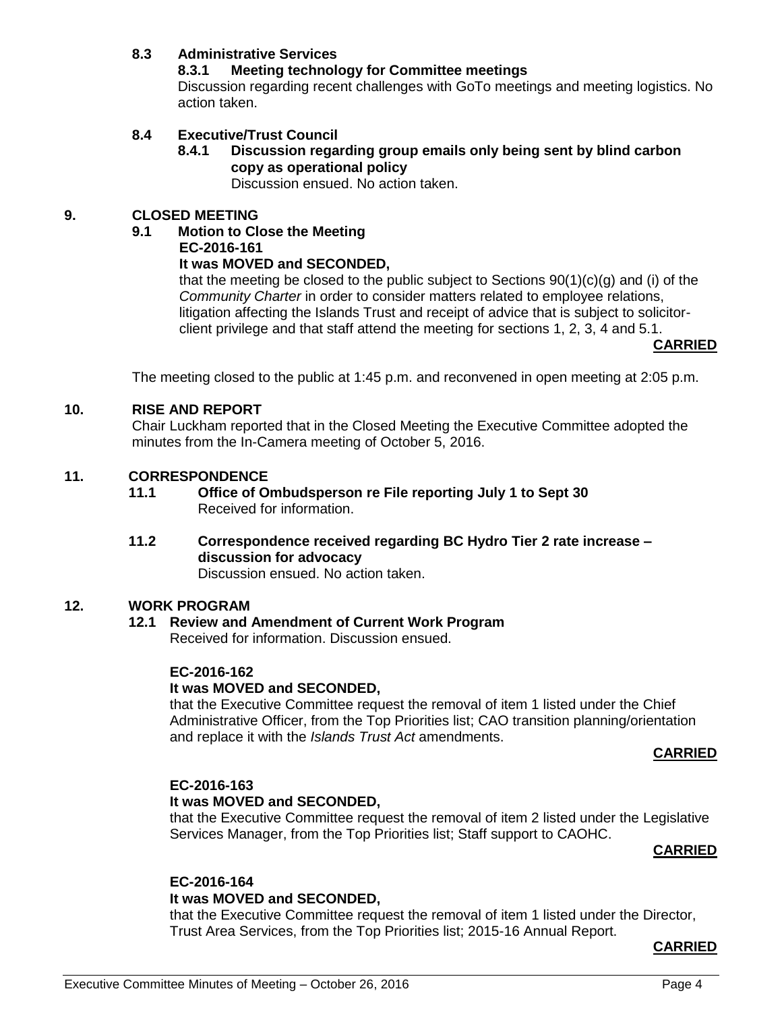## **8.3 Administrative Services**

## **8.3.1 Meeting technology for Committee meetings**

Discussion regarding recent challenges with GoTo meetings and meeting logistics. No action taken.

## **8.4 Executive/Trust Council**

## **8.4.1 Discussion regarding group emails only being sent by blind carbon copy as operational policy**

Discussion ensued. No action taken.

## **9. CLOSED MEETING**

#### **9.1 Motion to Close the Meeting**

**EC-2016-161**

#### **It was MOVED and SECONDED,**

that the meeting be closed to the public subject to Sections 90(1)(c)(g) and (i) of the *Community Charter* in order to consider matters related to employee relations, litigation affecting the Islands Trust and receipt of advice that is subject to solicitorclient privilege and that staff attend the meeting for sections 1, 2, 3, 4 and 5.1.

**CARRIED**

The meeting closed to the public at 1:45 p.m. and reconvened in open meeting at 2:05 p.m.

#### **10. RISE AND REPORT**

Chair Luckham reported that in the Closed Meeting the Executive Committee adopted the minutes from the In-Camera meeting of October 5, 2016.

#### **11. CORRESPONDENCE**

**11.1 Office of Ombudsperson re File reporting July 1 to Sept 30** Received for information.

# **11.2 Correspondence received regarding BC Hydro Tier 2 rate increase – discussion for advocacy**

Discussion ensued. No action taken.

## **12. WORK PROGRAM**

#### **12.1 Review and Amendment of Current Work Program** Received for information. Discussion ensued.

# **EC-2016-162**

## **It was MOVED and SECONDED,**

that the Executive Committee request the removal of item 1 listed under the Chief Administrative Officer, from the Top Priorities list; CAO transition planning/orientation and replace it with the *Islands Trust Act* amendments.

#### **CARRIED**

#### **EC-2016-163 It was MOVED and SECONDED,**

that the Executive Committee request the removal of item 2 listed under the Legislative Services Manager, from the Top Priorities list; Staff support to CAOHC.

## **CARRIED**

# **EC-2016-164**

## **It was MOVED and SECONDED,**

that the Executive Committee request the removal of item 1 listed under the Director, Trust Area Services, from the Top Priorities list; 2015-16 Annual Report.

#### **CARRIED**